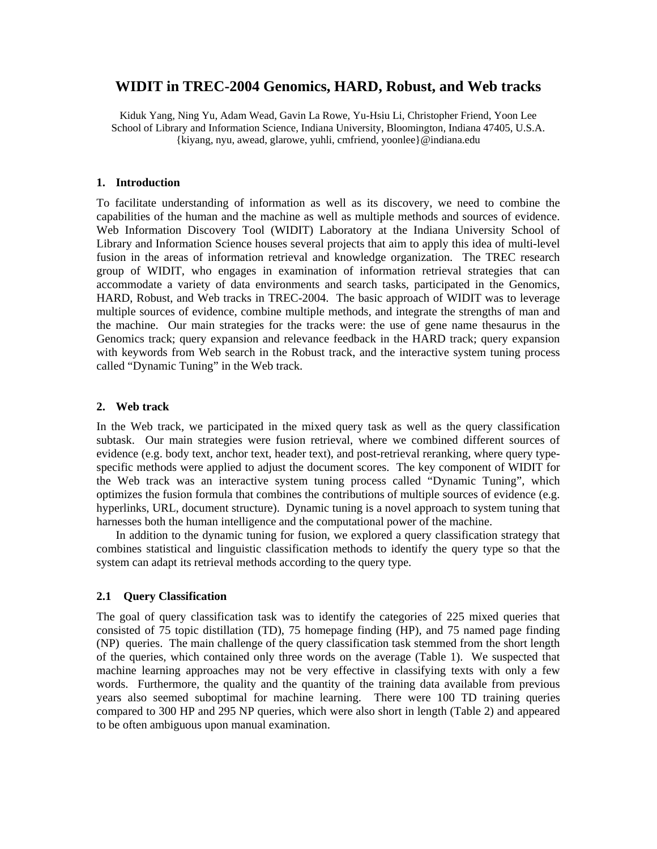# **WIDIT in TREC-2004 Genomics, HARD, Robust, and Web tracks**

Kiduk Yang, Ning Yu, Adam Wead, Gavin La Rowe, Yu-Hsiu Li, Christopher Friend, Yoon Lee School of Library and Information Science, Indiana University, Bloomington, Indiana 47405, U.S.A. {kiyang, nyu, awead, glarowe, yuhli, cmfriend, yoonlee}@indiana.edu

### **1. Introduction**

To facilitate understanding of information as well as its discovery, we need to combine the capabilities of the human and the machine as well as multiple methods and sources of evidence. Web Information Discovery Tool (WIDIT) Laboratory at the Indiana University School of Library and Information Science houses several projects that aim to apply this idea of multi-level fusion in the areas of information retrieval and knowledge organization. The TREC research group of WIDIT, who engages in examination of information retrieval strategies that can accommodate a variety of data environments and search tasks, participated in the Genomics, HARD, Robust, and Web tracks in TREC-2004. The basic approach of WIDIT was to leverage multiple sources of evidence, combine multiple methods, and integrate the strengths of man and the machine. Our main strategies for the tracks were: the use of gene name thesaurus in the Genomics track; query expansion and relevance feedback in the HARD track; query expansion with keywords from Web search in the Robust track, and the interactive system tuning process called "Dynamic Tuning" in the Web track.

#### **2. Web track**

In the Web track, we participated in the mixed query task as well as the query classification subtask. Our main strategies were fusion retrieval, where we combined different sources of evidence (e.g. body text, anchor text, header text), and post-retrieval reranking, where query typespecific methods were applied to adjust the document scores. The key component of WIDIT for the Web track was an interactive system tuning process called "Dynamic Tuning", which optimizes the fusion formula that combines the contributions of multiple sources of evidence (e.g. hyperlinks, URL, document structure). Dynamic tuning is a novel approach to system tuning that harnesses both the human intelligence and the computational power of the machine.

In addition to the dynamic tuning for fusion, we explored a query classification strategy that combines statistical and linguistic classification methods to identify the query type so that the system can adapt its retrieval methods according to the query type.

# **2.1 Query Classification**

The goal of query classification task was to identify the categories of 225 mixed queries that consisted of 75 topic distillation (TD), 75 homepage finding (HP), and 75 named page finding (NP) queries. The main challenge of the query classification task stemmed from the short length of the queries, which contained only three words on the average (Table 1). We suspected that machine learning approaches may not be very effective in classifying texts with only a few words. Furthermore, the quality and the quantity of the training data available from previous years also seemed suboptimal for machine learning. There were 100 TD training queries compared to 300 HP and 295 NP queries, which were also short in length (Table 2) and appeared to be often ambiguous upon manual examination.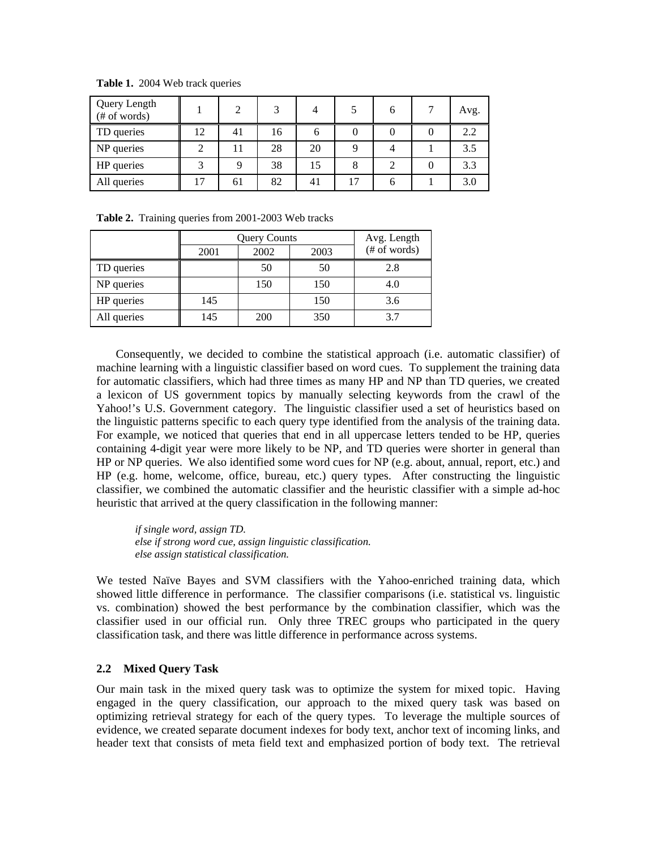| Query Length<br>(# of words) |    |    | 2  |    |    | h | Avg. |
|------------------------------|----|----|----|----|----|---|------|
| TD queries                   | 12 | 41 | 16 | h  | 0  |   | 2.2  |
| NP queries                   |    |    | 28 | 20 | 9  |   | 3.5  |
| HP queries                   | 2  | 9  | 38 | 15 | 8  |   | 3.3  |
| All queries                  | 17 | 61 | 82 | 41 | 17 |   | 3.0  |

**Table 1.** 2004 Web track queries

**Table 2.** Training queries from 2001-2003 Web tracks

|             | <b>Query Counts</b> | Avg. Length |      |              |
|-------------|---------------------|-------------|------|--------------|
|             | 2001                | 2002        | 2003 | (# of words) |
| TD queries  |                     | 50          | 50   | 2.8          |
| NP queries  |                     | 150         | 150  | 4.0          |
| HP queries  | 145                 |             | 150  | 3.6          |
| All queries | 145                 | 200         | 350  | 3.7          |

Consequently, we decided to combine the statistical approach (i.e. automatic classifier) of machine learning with a linguistic classifier based on word cues. To supplement the training data for automatic classifiers, which had three times as many HP and NP than TD queries, we created a lexicon of US government topics by manually selecting keywords from the crawl of the Yahoo!'s U.S. Government category. The linguistic classifier used a set of heuristics based on the linguistic patterns specific to each query type identified from the analysis of the training data. For example, we noticed that queries that end in all uppercase letters tended to be HP, queries containing 4-digit year were more likely to be NP, and TD queries were shorter in general than HP or NP queries. We also identified some word cues for NP (e.g. about, annual, report, etc.) and HP (e.g. home, welcome, office, bureau, etc.) query types. After constructing the linguistic classifier, we combined the automatic classifier and the heuristic classifier with a simple ad-hoc heuristic that arrived at the query classification in the following manner:

*if single word, assign TD. else if strong word cue, assign linguistic classification. else assign statistical classification.* 

We tested Naïve Bayes and SVM classifiers with the Yahoo-enriched training data, which showed little difference in performance. The classifier comparisons (i.e. statistical vs. linguistic vs. combination) showed the best performance by the combination classifier, which was the classifier used in our official run. Only three TREC groups who participated in the query classification task, and there was little difference in performance across systems.

# **2.2 Mixed Query Task**

Our main task in the mixed query task was to optimize the system for mixed topic. Having engaged in the query classification, our approach to the mixed query task was based on optimizing retrieval strategy for each of the query types. To leverage the multiple sources of evidence, we created separate document indexes for body text, anchor text of incoming links, and header text that consists of meta field text and emphasized portion of body text. The retrieval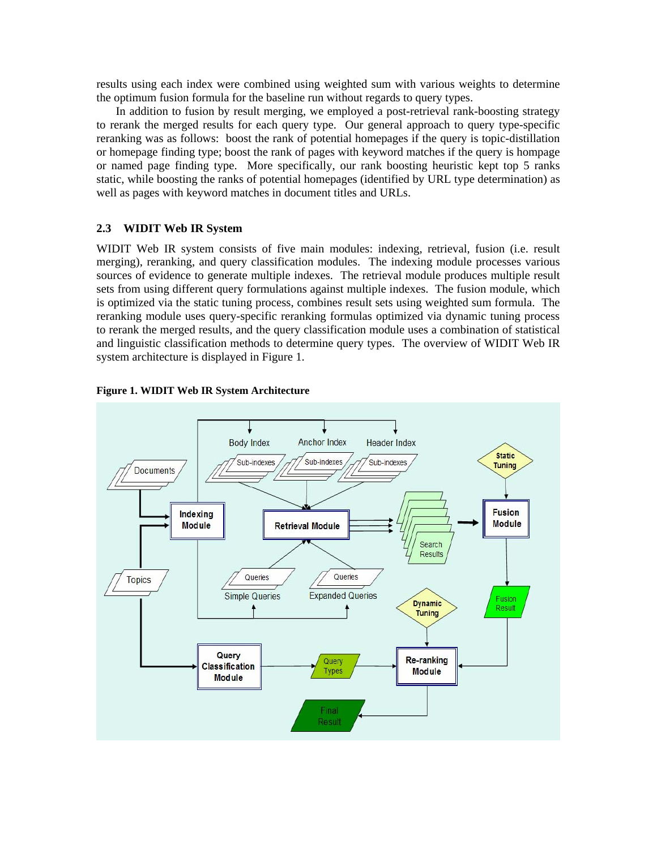results using each index were combined using weighted sum with various weights to determine the optimum fusion formula for the baseline run without regards to query types.

In addition to fusion by result merging, we employed a post-retrieval rank-boosting strategy to rerank the merged results for each query type. Our general approach to query type-specific reranking was as follows: boost the rank of potential homepages if the query is topic-distillation or homepage finding type; boost the rank of pages with keyword matches if the query is hompage or named page finding type. More specifically, our rank boosting heuristic kept top 5 ranks static, while boosting the ranks of potential homepages (identified by URL type determination) as well as pages with keyword matches in document titles and URLs.

#### **2.3 WIDIT Web IR System**

WIDIT Web IR system consists of five main modules: indexing, retrieval, fusion (i.e. result merging), reranking, and query classification modules. The indexing module processes various sources of evidence to generate multiple indexes. The retrieval module produces multiple result sets from using different query formulations against multiple indexes. The fusion module, which is optimized via the static tuning process, combines result sets using weighted sum formula. The reranking module uses query-specific reranking formulas optimized via dynamic tuning process to rerank the merged results, and the query classification module uses a combination of statistical and linguistic classification methods to determine query types. The overview of WIDIT Web IR system architecture is displayed in Figure 1.



**Figure 1. WIDIT Web IR System Architecture**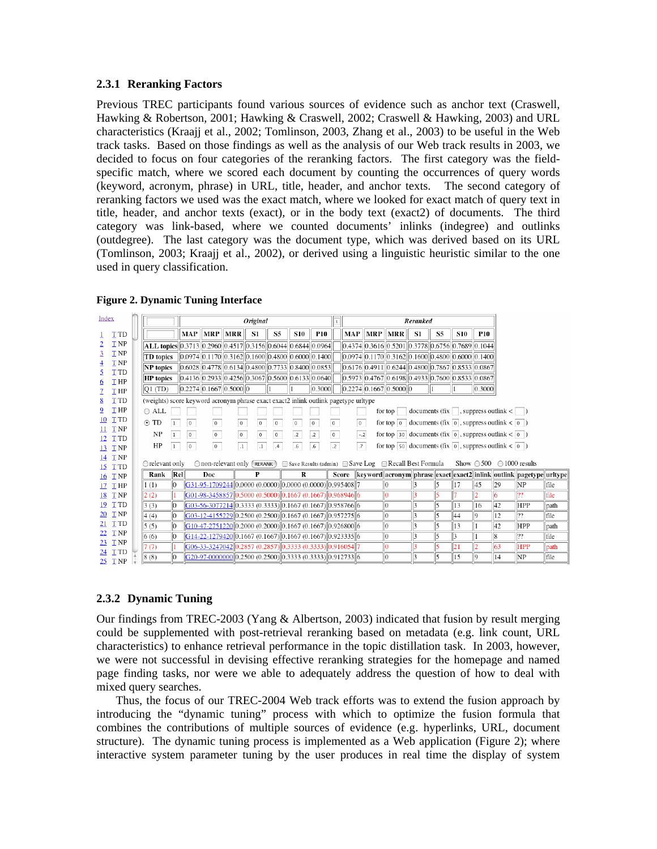## **2.3.1 Reranking Factors**

Previous TREC participants found various sources of evidence such as anchor text (Craswell, Hawking & Robertson, 2001; Hawking & Craswell, 2002; Craswell & Hawking, 2003) and URL characteristics (Kraajj et al., 2002; Tomlinson, 2003, Zhang et al., 2003) to be useful in the Web track tasks. Based on those findings as well as the analysis of our Web track results in 2003, we decided to focus on four categories of the reranking factors. The first category was the fieldspecific match, where we scored each document by counting the occurrences of query words (keyword, acronym, phrase) in URL, title, header, and anchor texts. The second category of reranking factors we used was the exact match, where we looked for exact match of query text in title, header, and anchor texts (exact), or in the body text (exact2) of documents. The third category was link-based, where we counted documents' inlinks (indegree) and outlinks (outdegree). The last category was the document type, which was derived based on its URL (Tomlinson, 2003; Kraajj et al., 2002), or derived using a linguistic heuristic similar to the one used in query classification.

| <i><u>Index</u></i> |                    |                                                                                     |             |         |                                |                | <i><b>Original</b></i> |                |                                                               |            |                 |             |       |                                                                                             | <b>Reranked</b> |    |            |        |                                                     |                                                                                    |      |
|---------------------|--------------------|-------------------------------------------------------------------------------------|-------------|---------|--------------------------------|----------------|------------------------|----------------|---------------------------------------------------------------|------------|-----------------|-------------|-------|---------------------------------------------------------------------------------------------|-----------------|----|------------|--------|-----------------------------------------------------|------------------------------------------------------------------------------------|------|
|                     | <b>T</b> TD        |                                                                                     |             |         | $MAP$ MRP MRR                  |                | S1                     | S <sub>5</sub> | <b>S10</b>                                                    | <b>P10</b> |                 |             |       | $MAP$ MRP MRR                                                                               | S1              | S5 | <b>S10</b> | P10    |                                                     |                                                                                    |      |
|                     | <b>TNP</b>         | ALL topics 0.3713 0.2960 0.4517 0.3156 0.6044 0.6844 0.0964                         |             |         |                                |                |                        |                |                                                               |            |                 |             |       | $[0.4374][0.3616][0.5201][0.3778][0.6756][0.7689][0.1044]$                                  |                 |    |            |        |                                                     |                                                                                    |      |
|                     | <b>T</b> NP        | <b>TD</b> topics                                                                    |             |         |                                |                |                        |                | $[0.0974][0.1170][0.3162][0.1600][0.4800][0.6000][0.1400]$    |            |                 |             |       | $[0.0974]$ $[0.1170]$ $[0.3162]$ $[0.1600]$ $[0.4800]$ $[0.6000]$ $[0.1400]$                |                 |    |            |        |                                                     |                                                                                    |      |
|                     | <b>TNP</b>         | NP topics                                                                           |             |         |                                |                |                        |                | $ 0.6028 0.4778 0.6134 0.4800 0.7733 0.8400 0.0853 $          |            |                 |             |       | $[0.6176]$ $[0.4911]$ $[0.6244]$ $[0.4800]$ $[0.7867]$ $[0.8533]$ $[0.0867]$                |                 |    |            |        |                                                     |                                                                                    |      |
|                     | T TD<br>T HP       | <b>HP</b> topics                                                                    |             |         |                                |                |                        |                | $[0.4136][0.2933][0.4256][0.3067][0.5600][0.6133][0.0640]$    |            |                 |             |       | $ 0.5973 0.4767 0.6198 0.4933 0.7600 0.8533 0.0867 $                                        |                 |    |            |        |                                                     |                                                                                    |      |
|                     | T HP               | Q1(TD)                                                                              |             |         | 0.2274   0.1667   0.5000   0   |                |                        |                |                                                               | 0.3000     |                 |             |       | 0.2274 0.1667 0.5000 0                                                                      |                 |    |            | 0.3000 |                                                     |                                                                                    |      |
|                     | <b>TTD</b>         | (weights) score keyword acronym phrase exact exact2 inlink outlink pagetype urltype |             |         |                                |                |                        |                |                                                               |            |                 |             |       |                                                                                             |                 |    |            |        |                                                     |                                                                                    |      |
|                     | T HP               | $\odot$ ALL                                                                         |             |         |                                |                |                        |                |                                                               |            |                 |             |       | for top                                                                                     |                 |    |            |        | documents (fix $\Box$ , suppress outlink < $\Box$ ) |                                                                                    |      |
| 10                  | <b>TTD</b>         | $\odot$ TD                                                                          | 1           | $\circ$ | $\overline{0}$                 | $\overline{0}$ | $\overline{0}$         | $\,$ 0 $\,$    | 0                                                             | $\circ$    | $\overline{0}$  | $\,$ 0 $\,$ |       | for top $\boxed{0}$ documents (fix $\boxed{0}$ , suppress outlink < $\boxed{0}$ )           |                 |    |            |        |                                                     |                                                                                    |      |
|                     | <b>T</b> NP        | NP                                                                                  | 1           | $\circ$ | $\overline{0}$                 | $\circ$        | $\circ$                | $\circ$        |                                                               | $\cdot$ .2 |                 |             | $-.2$ | for top $\overline{30}$ documents (fix $\overline{0}$ , suppress outlink < $\overline{0}$ ) |                 |    |            |        |                                                     |                                                                                    |      |
| 12                  | <b>T</b> TD        |                                                                                     |             |         |                                |                |                        |                | .2                                                            |            | $\overline{0}$  |             |       |                                                                                             |                 |    |            |        |                                                     |                                                                                    |      |
|                     | 13 T NP            | HP                                                                                  | $\vert$ 1   | $\circ$ | $\overline{0}$                 | .1             | $\cdot$ 1              | .4             | .6                                                            | .6         | $\overline{.2}$ | .7          |       | for top $\boxed{50}$ documents (fix $\boxed{0}$ , suppress outlink < $\boxed{0}$ )          |                 |    |            |        |                                                     |                                                                                    |      |
|                     | $14$ TNP           | $\bigcirc$ relevant only                                                            |             |         | $\bigcirc$ non-relevant only ( |                | <b>RERANK</b>          |                | ■ Save Results (admin) ■ Save Log ■ Recall Best Formula       |            |                 |             |       |                                                                                             |                 |    |            |        | Show $\bigcirc$ 500 $\bigcirc$ 1000 results         |                                                                                    |      |
|                     | $15$ TD            | Rank                                                                                | $\vert$ Rel |         | Doc                            |                | P                      |                | R                                                             |            |                 |             |       |                                                                                             |                 |    |            |        |                                                     | Score   keyword  acronym  phrase  exact  exact2  inlink  outlink  pagetype  urltyp |      |
|                     | 16 T NP            | 1(1)                                                                                | 10          |         |                                |                |                        |                | G31-95-1709244 0.0000 (0.0000) 0.0000 (0.0000) 0.995408 7     |            |                 |             |       |                                                                                             |                 |    | 17         | 45     | 29                                                  | ∣NP                                                                                | file |
|                     | $17$ THP           |                                                                                     |             |         |                                |                |                        |                | G01-98-3458857 0.5000 (0.5000) 0.1667 (0.1667) 0.968946 6     |            |                 |             |       |                                                                                             |                 | 15 |            |        |                                                     | 22                                                                                 |      |
|                     | 18 T NP            | 2(2)                                                                                | 11          |         |                                |                |                        |                |                                                               |            |                 |             |       |                                                                                             |                 |    |            |        | 6                                                   |                                                                                    | file |
| 19                  | <b>TTD</b>         | 3(3)                                                                                | 10          |         |                                |                |                        |                | G03-56-3077214 0.3333 (0.3333) 0.1667 (0.1667) 0.958766 6     |            |                 |             |       | 10                                                                                          | 3               | 15 | 13         | 16     | 42                                                  | <b>HPP</b>                                                                         | path |
| 20                  | T NP               | 4(4)                                                                                | 10          |         |                                |                |                        |                | $[G03-12-4155229]0.2500(0.2500)]0.1667(0.1667)$ $[0.957275]6$ |            |                 |             |       | 10                                                                                          | 3               | 5  | 44         | 9      | 12                                                  | $ 22\rangle$                                                                       | file |
| 21                  | <b>TTD</b>         | 5(5)                                                                                | 10          |         |                                |                |                        |                | G10-47-2751220 0.2000 (0.2000) 0.1667 (0.1667) 0.926800 6     |            |                 |             |       | lo                                                                                          | $\overline{3}$  | 15 | 13         |        | 42                                                  | <b>HPP</b>                                                                         | path |
| 22                  | T NP               | 6(6)                                                                                | 10          |         |                                |                |                        |                | $ G14-22-1279420 0.1667(0.1667) 0.1667(0.1667) 0.923335 6$    |            |                 |             |       | 10                                                                                          | 3               | 5  | 3          |        | 8                                                   | 22                                                                                 | file |
| 23                  | T NP               | 7(7)                                                                                |             |         |                                |                |                        |                | G06-33-3247042 0.2857 (0.2857) 0.3333 (0.3333) 0.916054 7     |            |                 |             |       |                                                                                             |                 | 15 | 21         |        | 63                                                  | <b>HPP</b>                                                                         | path |
|                     | 24 T TD<br>25 T NP | 8(8)                                                                                | 10          |         |                                |                |                        |                | $ G20-97-0000000 0.2500(0.2500) 0.3333(0.3333) 0.912733 6$    |            |                 |             |       | 10                                                                                          |                 | 5  | 15         | l9     | 14                                                  | ∣NP                                                                                | file |
|                     |                    |                                                                                     |             |         |                                |                |                        |                |                                                               |            |                 |             |       |                                                                                             |                 |    |            |        |                                                     |                                                                                    |      |

|  | <b>Figure 2. Dynamic Tuning Interface</b> |  |
|--|-------------------------------------------|--|
|  |                                           |  |

# **2.3.2 Dynamic Tuning**

Our findings from TREC-2003 (Yang & Albertson, 2003) indicated that fusion by result merging could be supplemented with post-retrieval reranking based on metadata (e.g. link count, URL characteristics) to enhance retrieval performance in the topic distillation task. In 2003, however, we were not successful in devising effective reranking strategies for the homepage and named page finding tasks, nor were we able to adequately address the question of how to deal with mixed query searches.

Thus, the focus of our TREC-2004 Web track efforts was to extend the fusion approach by introducing the "dynamic tuning" process with which to optimize the fusion formula that combines the contributions of multiple sources of evidence (e.g. hyperlinks, URL, document structure). The dynamic tuning process is implemented as a Web application (Figure 2); where interactive system parameter tuning by the user produces in real time the display of system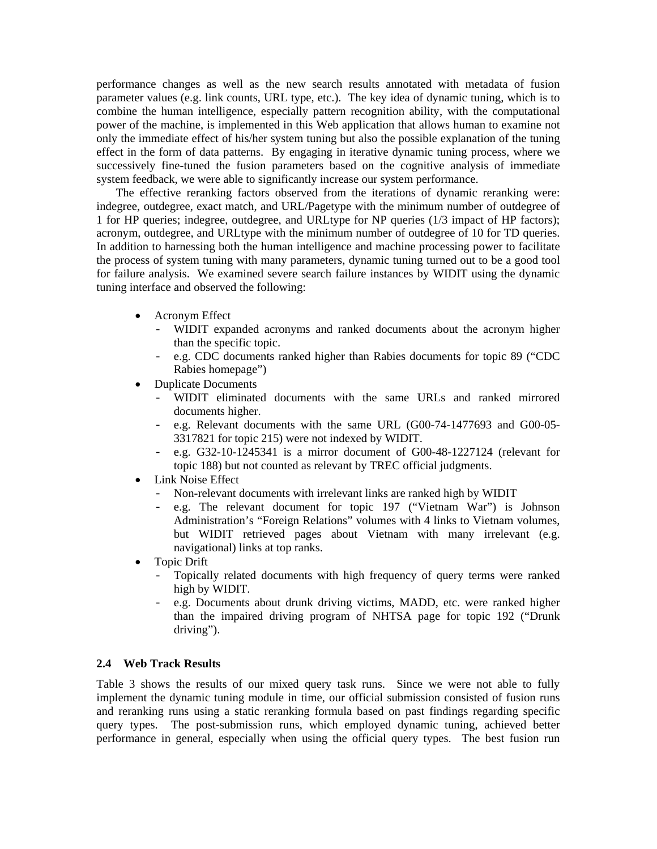performance changes as well as the new search results annotated with metadata of fusion parameter values (e.g. link counts, URL type, etc.). The key idea of dynamic tuning, which is to combine the human intelligence, especially pattern recognition ability, with the computational power of the machine, is implemented in this Web application that allows human to examine not only the immediate effect of his/her system tuning but also the possible explanation of the tuning effect in the form of data patterns. By engaging in iterative dynamic tuning process, where we successively fine-tuned the fusion parameters based on the cognitive analysis of immediate system feedback, we were able to significantly increase our system performance.

The effective reranking factors observed from the iterations of dynamic reranking were: indegree, outdegree, exact match, and URL/Pagetype with the minimum number of outdegree of 1 for HP queries; indegree, outdegree, and URLtype for NP queries (1/3 impact of HP factors); acronym, outdegree, and URLtype with the minimum number of outdegree of 10 for TD queries. In addition to harnessing both the human intelligence and machine processing power to facilitate the process of system tuning with many parameters, dynamic tuning turned out to be a good tool for failure analysis. We examined severe search failure instances by WIDIT using the dynamic tuning interface and observed the following:

- Acronym Effect
	- WIDIT expanded acronyms and ranked documents about the acronym higher than the specific topic.
	- e.g. CDC documents ranked higher than Rabies documents for topic 89 ("CDC Rabies homepage")
- Duplicate Documents
	- WIDIT eliminated documents with the same URLs and ranked mirrored documents higher.
	- e.g. Relevant documents with the same URL (G00-74-1477693 and G00-05- 3317821 for topic 215) were not indexed by WIDIT.
	- e.g. G32-10-1245341 is a mirror document of G00-48-1227124 (relevant for topic 188) but not counted as relevant by TREC official judgments.
- Link Noise Effect
	- Non-relevant documents with irrelevant links are ranked high by WIDIT
	- e.g. The relevant document for topic 197 ("Vietnam War") is Johnson Administration's "Foreign Relations" volumes with 4 links to Vietnam volumes, but WIDIT retrieved pages about Vietnam with many irrelevant (e.g. navigational) links at top ranks.
- Topic Drift
	- Topically related documents with high frequency of query terms were ranked high by WIDIT.
	- e.g. Documents about drunk driving victims, MADD, etc. were ranked higher than the impaired driving program of NHTSA page for topic 192 ("Drunk driving").

## **2.4 Web Track Results**

Table 3 shows the results of our mixed query task runs. Since we were not able to fully implement the dynamic tuning module in time, our official submission consisted of fusion runs and reranking runs using a static reranking formula based on past findings regarding specific query types. The post-submission runs, which employed dynamic tuning, achieved better performance in general, especially when using the official query types. The best fusion run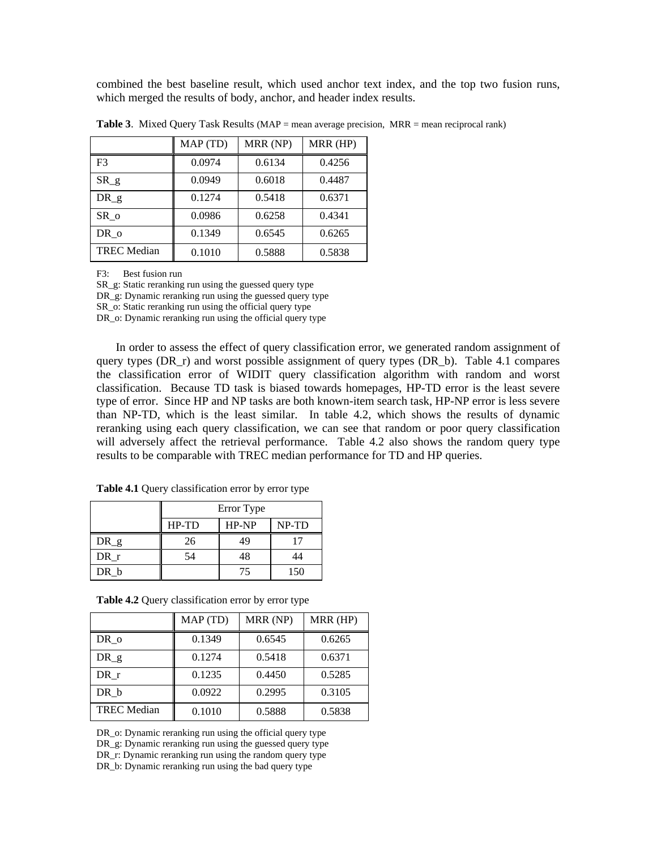combined the best baseline result, which used anchor text index, and the top two fusion runs, which merged the results of body, anchor, and header index results.

|                    | MAP (TD) | MRR (NP) | MRR (HP) |
|--------------------|----------|----------|----------|
| F <sub>3</sub>     | 0.0974   | 0.6134   | 0.4256   |
| $SR_g$             | 0.0949   | 0.6018   | 0.4487   |
| $DR_g$             | 0.1274   | 0.5418   | 0.6371   |
| SR o               | 0.0986   | 0.6258   | 0.4341   |
| DR o               | 0.1349   | 0.6545   | 0.6265   |
| <b>TREC</b> Median | 0.1010   | 0.5888   | 0.5838   |

**Table 3.** Mixed Query Task Results (MAP = mean average precision, MRR = mean reciprocal rank)

F3: Best fusion run

SR\_g: Static reranking run using the guessed query type

DR\_g: Dynamic reranking run using the guessed query type

SR\_o: Static reranking run using the official query type

DR\_o: Dynamic reranking run using the official query type

 In order to assess the effect of query classification error, we generated random assignment of query types (DR\_r) and worst possible assignment of query types (DR\_b). Table 4.1 compares the classification error of WIDIT query classification algorithm with random and worst classification. Because TD task is biased towards homepages, HP-TD error is the least severe type of error. Since HP and NP tasks are both known-item search task, HP-NP error is less severe than NP-TD, which is the least similar. In table 4.2, which shows the results of dynamic reranking using each query classification, we can see that random or poor query classification will adversely affect the retrieval performance. Table 4.2 also shows the random query type results to be comparable with TREC median performance for TD and HP queries.

|        | Error Type |       |       |  |  |  |  |
|--------|------------|-------|-------|--|--|--|--|
|        | HP-TD      | HP-NP | NP-TD |  |  |  |  |
| $DR_g$ | 26         | 49    |       |  |  |  |  |
| $DR_r$ | 54         | 48    | 44    |  |  |  |  |
| DR b   |            | 75    | 150   |  |  |  |  |

Table 4.1 Query classification error by error type

|                    | MAP (TD) | MRR (NP) | MRR (HP) |
|--------------------|----------|----------|----------|
| DR 0               | 0.1349   | 0.6545   | 0.6265   |
| $DR_g$             | 0.1274   | 0.5418   | 0.6371   |
| DR r               | 0.1235   | 0.4450   | 0.5285   |
| DR b               | 0.0922   | 0.2995   | 0.3105   |
| <b>TREC</b> Median | 0.1010   | 0.5888   | 0.5838   |

**Table 4.2** Query classification error by error type

DR o: Dynamic reranking run using the official query type

DR\_g: Dynamic reranking run using the guessed query type

DR\_r: Dynamic reranking run using the random query type

DR\_b: Dynamic reranking run using the bad query type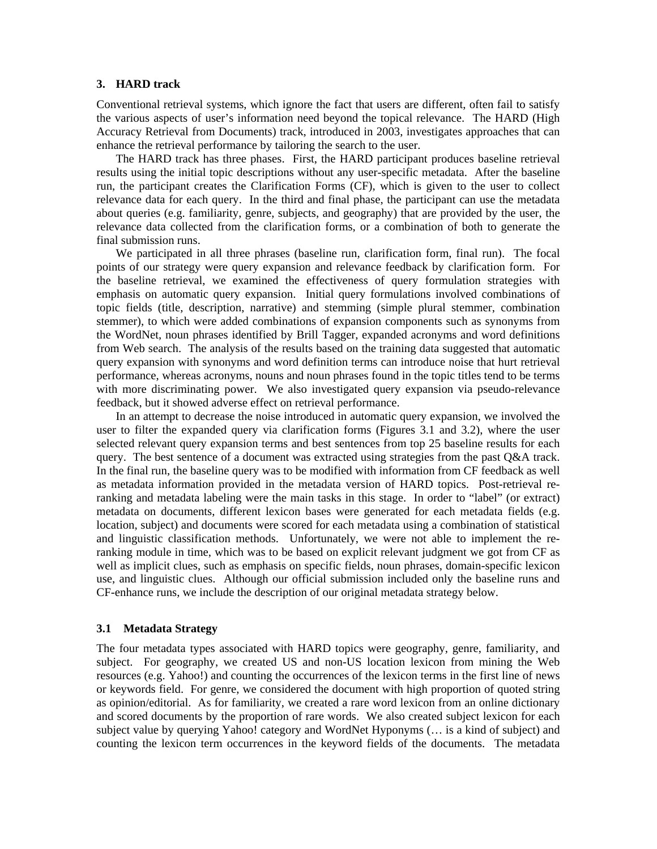#### **3. HARD track**

Conventional retrieval systems, which ignore the fact that users are different, often fail to satisfy the various aspects of user's information need beyond the topical relevance. The HARD (High Accuracy Retrieval from Documents) track, introduced in 2003, investigates approaches that can enhance the retrieval performance by tailoring the search to the user.

The HARD track has three phases. First, the HARD participant produces baseline retrieval results using the initial topic descriptions without any user-specific metadata. After the baseline run, the participant creates the Clarification Forms (CF), which is given to the user to collect relevance data for each query. In the third and final phase, the participant can use the metadata about queries (e.g. familiarity, genre, subjects, and geography) that are provided by the user, the relevance data collected from the clarification forms, or a combination of both to generate the final submission runs.

We participated in all three phrases (baseline run, clarification form, final run). The focal points of our strategy were query expansion and relevance feedback by clarification form. For the baseline retrieval, we examined the effectiveness of query formulation strategies with emphasis on automatic query expansion. Initial query formulations involved combinations of topic fields (title, description, narrative) and stemming (simple plural stemmer, combination stemmer), to which were added combinations of expansion components such as synonyms from the WordNet, noun phrases identified by Brill Tagger, expanded acronyms and word definitions from Web search. The analysis of the results based on the training data suggested that automatic query expansion with synonyms and word definition terms can introduce noise that hurt retrieval performance, whereas acronyms, nouns and noun phrases found in the topic titles tend to be terms with more discriminating power. We also investigated query expansion via pseudo-relevance feedback, but it showed adverse effect on retrieval performance.

In an attempt to decrease the noise introduced in automatic query expansion, we involved the user to filter the expanded query via clarification forms (Figures 3.1 and 3.2), where the user selected relevant query expansion terms and best sentences from top 25 baseline results for each query. The best sentence of a document was extracted using strategies from the past Q&A track. In the final run, the baseline query was to be modified with information from CF feedback as well as metadata information provided in the metadata version of HARD topics. Post-retrieval reranking and metadata labeling were the main tasks in this stage. In order to "label" (or extract) metadata on documents, different lexicon bases were generated for each metadata fields (e.g. location, subject) and documents were scored for each metadata using a combination of statistical and linguistic classification methods. Unfortunately, we were not able to implement the reranking module in time, which was to be based on explicit relevant judgment we got from CF as well as implicit clues, such as emphasis on specific fields, noun phrases, domain-specific lexicon use, and linguistic clues. Although our official submission included only the baseline runs and CF-enhance runs, we include the description of our original metadata strategy below.

#### **3.1 Metadata Strategy**

The four metadata types associated with HARD topics were geography, genre, familiarity, and subject. For geography, we created US and non-US location lexicon from mining the Web resources (e.g. Yahoo!) and counting the occurrences of the lexicon terms in the first line of news or keywords field. For genre, we considered the document with high proportion of quoted string as opinion/editorial. As for familiarity, we created a rare word lexicon from an online dictionary and scored documents by the proportion of rare words. We also created subject lexicon for each subject value by querying Yahoo! category and WordNet Hyponyms (… is a kind of subject) and counting the lexicon term occurrences in the keyword fields of the documents. The metadata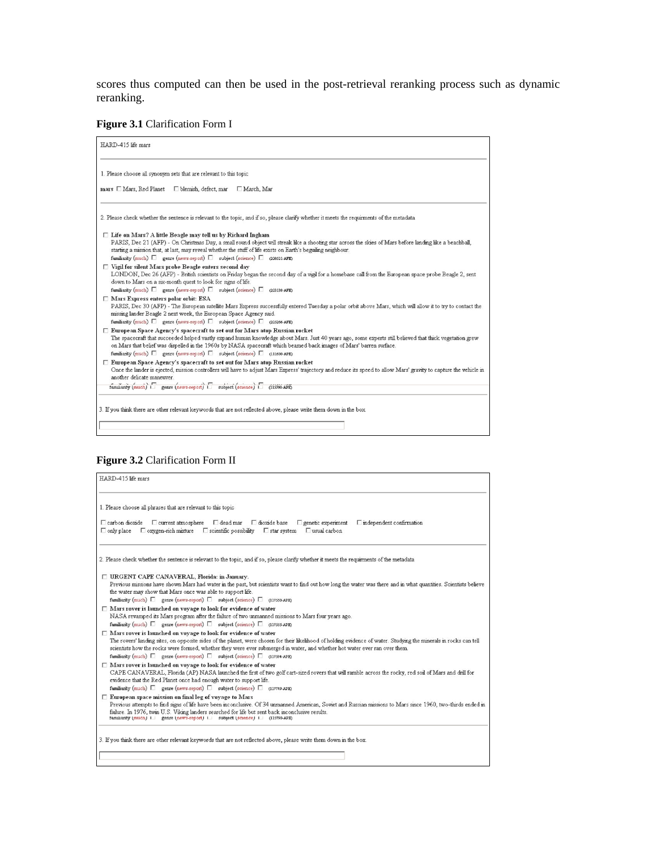scores thus computed can then be used in the post-retrieval reranking process such as dynamic reranking.

# **Figure 3.1** Clarification Form I

| HARD-415 life mars                                                                                                                                                                                                                                                                                                                                                                                                                                  |  |  |  |  |  |
|-----------------------------------------------------------------------------------------------------------------------------------------------------------------------------------------------------------------------------------------------------------------------------------------------------------------------------------------------------------------------------------------------------------------------------------------------------|--|--|--|--|--|
| 1. Please choose all synonym sets that are relevant to this topic<br>$\mathbf{mars}$ $\Box$ Mars, Red Planet<br>blemish, defect, mar<br>March, Mar                                                                                                                                                                                                                                                                                                  |  |  |  |  |  |
|                                                                                                                                                                                                                                                                                                                                                                                                                                                     |  |  |  |  |  |
| 2. Please check whether the sentence is relevant to the topic, and if so, please clarify whether it meets the requirments of the metadata                                                                                                                                                                                                                                                                                                           |  |  |  |  |  |
| □ Life on Mars? A little Beagle may tell us by Richard Ingham<br>PARIS, Dec 21 (AFP) - On Christmas Day, a small round object will streak like a shooting star across the skies of Mars before landing like a beachball,<br>starting a mission that, at last, may reveal whether the stuff of life exists on Earth's beguiling neighbour.<br>familiarity (much) □ genre (news-report) □ subject (science) □ (220521-AFE)                            |  |  |  |  |  |
| □ Vigil for silent Mars probe Beagle enters second day<br>LONDON, Dec 26 (AFP) - British scientists on Friday began the second day of a vigil for a homebase call from the European space probe Beagle 2, sent<br>down to Mars on a six-month quest to look for signs of life.<br>familiarity (much) [ genre (news-report) [ subject (science) [ $\Box$ (223138-AFE)                                                                                |  |  |  |  |  |
| $\Box$ Mars Express enters polar orbit: ESA<br>PARIS, Dec 30 (AFP) - The European satellite Mars Express successfully entered Tuesday a polar orbit above Mars, which will allow it to try to contact the<br>missing lander Beagle 2 next week, the European Space Agency said.<br>familiarity (much) $\Box$ genre (news-report) $\Box$ subject (science) $\Box$ (225266-AFE)                                                                       |  |  |  |  |  |
| $\Box$ European Space Agency's spacecraft to set out for Mars atop Russian rocket<br>The spacecraft that succeeded helped vastly expand human knowledge about Mars. Just 40 years ago, some experts still believed that thick vegetation grew<br>on Mars that belief was dispelled in the 1960s by NASA spacecraft which beamed back images of Mars' barren surface.<br>familiarity (much) [ genre (news-report) [ subject (science) [ (111680-APE) |  |  |  |  |  |
| $\Box$ European Space Agency's spacecraft to set out for Mars atop Russian rocket<br>Once the lander is ejected, mission controllers will have to adjust Mars Express' trajectory and reduce its speed to allow Mars' gravity to capture the vehicle in<br>another delicate maneuver.                                                                                                                                                               |  |  |  |  |  |
| $f$ amuhanty $(much)$ $\Box$ genre $(news-report)$ $\Box$ subject $(scence)$ $\Box$ (115790-APE)                                                                                                                                                                                                                                                                                                                                                    |  |  |  |  |  |
| 3. If you think there are other relevant keywords that are not reflected above, please write them down in the box.                                                                                                                                                                                                                                                                                                                                  |  |  |  |  |  |
|                                                                                                                                                                                                                                                                                                                                                                                                                                                     |  |  |  |  |  |

# **Figure 3.2** Clarification Form II

| HARD-415 life mars                                                                                                                                                                                                                                                                                                                                                                                                                                       |  |  |  |  |  |
|----------------------------------------------------------------------------------------------------------------------------------------------------------------------------------------------------------------------------------------------------------------------------------------------------------------------------------------------------------------------------------------------------------------------------------------------------------|--|--|--|--|--|
|                                                                                                                                                                                                                                                                                                                                                                                                                                                          |  |  |  |  |  |
| 1. Please choose all phrases that are relevant to this topic                                                                                                                                                                                                                                                                                                                                                                                             |  |  |  |  |  |
| Carbon dioxide<br>□ current atmosphere<br>$\Box$ dead mar<br>dioxide base<br>$\Box$ genetic experiment<br>□ independent confirmation<br>$\Box$ only place<br>□ oxygen-rich mixture<br>$\Box$ scientific possibility<br>$\Box$ star system<br>□ usual carbon                                                                                                                                                                                              |  |  |  |  |  |
| 2. Please check whether the sentence is relevant to the topic, and if so, please clarify whether it meets the requirments of the metadata                                                                                                                                                                                                                                                                                                                |  |  |  |  |  |
| □ URGENT CAPE CANAVERAL, Florida: in January.<br>Previous missions have shown Mars had water in the past, but scientists want to find out how long the water was there and in what quantities. Scientists believe<br>the water may show that Mars once was able to support life.<br>familiarity (much) [ genre (news-report) [ subject (science) [ (117550-APE)                                                                                          |  |  |  |  |  |
| $\Box$ Mars rover is launched on voyage to look for evidence of water<br>NASA revamped its Mars program after the failure of two unmanned missions to Mars four years ago.<br>familiarity (much) [ genre (news-report) [ subject (science) [ (117555 APE)                                                                                                                                                                                                |  |  |  |  |  |
| $\Box$ Mars rover is launched on voyage to look for evidence of water<br>The rovers' landing sites, on opposite sides of the planet, were chosen for their likelihood of holding evidence of water. Studying the minerals in rocks can tell<br>scientists how the rocks were formed, whether they were ever submerged in water, and whether hot water ever ran over them.<br>familiarity (much) [ genre (news-report) [ subject (science) [ (117594-APE) |  |  |  |  |  |
| $\Box$ Mars rover is launched on voyage to look for evidence of water<br>CAPE CANAVERAL, Florida (AP) NASA launched the first of two golf cart-sized rovers that will ramble across the rocky, red soil of Mars and drill for<br>evidence that the Red Planet once had enough water to support life.<br>familiarity (much) [ genre (news-report) [ subject (science) [ (117749-APE)                                                                      |  |  |  |  |  |
| $\Box$ European space mission on final leg of voyage to Mars<br>Previous attempts to find signs of life have been inconclusive. Of 34 unmanned American, Soviet and Russian missions to Mars since 1960, two-thirds ended in<br>failure. In 1976, twin U.S. Viking landers searched for life but sent back inconclusive results.<br>raminanty (much) 1 genre (news-report) 1 subject (science) 1 (115790-APE)                                            |  |  |  |  |  |
| 3. If you think there are other relevant keywords that are not reflected above, please write them down in the box.                                                                                                                                                                                                                                                                                                                                       |  |  |  |  |  |
|                                                                                                                                                                                                                                                                                                                                                                                                                                                          |  |  |  |  |  |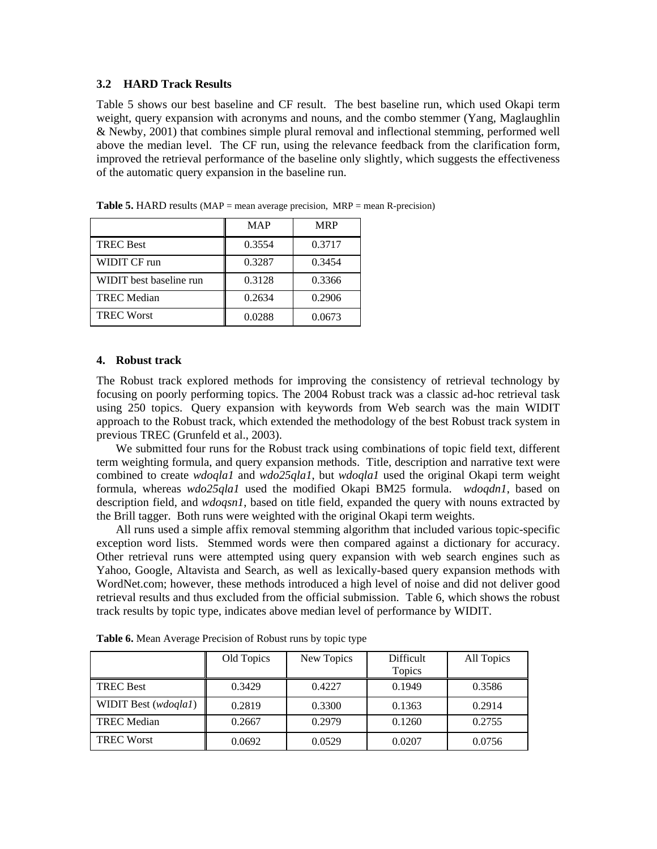## **3.2 HARD Track Results**

Table 5 shows our best baseline and CF result. The best baseline run, which used Okapi term weight, query expansion with acronyms and nouns, and the combo stemmer (Yang, Maglaughlin & Newby, 2001) that combines simple plural removal and inflectional stemming, performed well above the median level. The CF run, using the relevance feedback from the clarification form, improved the retrieval performance of the baseline only slightly, which suggests the effectiveness of the automatic query expansion in the baseline run.

|                         | <b>MAP</b> | <b>MRP</b> |
|-------------------------|------------|------------|
| <b>TREC Best</b>        | 0.3554     | 0.3717     |
| WIDIT CF run            | 0.3287     | 0.3454     |
| WIDIT best baseline run | 0.3128     | 0.3366     |
| <b>TREC</b> Median      | 0.2634     | 0.2906     |
| <b>TREC Worst</b>       | 0.0288     | 0.0673     |

**Table 5.** HARD results (MAP = mean average precision, MRP = mean R-precision)

## **4. Robust track**

The Robust track explored methods for improving the consistency of retrieval technology by focusing on poorly performing topics. The 2004 Robust track was a classic ad-hoc retrieval task using 250 topics. Query expansion with keywords from Web search was the main WIDIT approach to the Robust track, which extended the methodology of the best Robust track system in previous TREC (Grunfeld et al., 2003).

We submitted four runs for the Robust track using combinations of topic field text, different term weighting formula, and query expansion methods. Title, description and narrative text were combined to create *wdoqla1* and *wdo25qla1*, but *wdoqla1* used the original Okapi term weight formula, whereas *wdo25qla1* used the modified Okapi BM25 formula. *wdoqdn1*, based on description field, and *wdoqsn1*, based on title field, expanded the query with nouns extracted by the Brill tagger. Both runs were weighted with the original Okapi term weights.

All runs used a simple affix removal stemming algorithm that included various topic-specific exception word lists. Stemmed words were then compared against a dictionary for accuracy. Other retrieval runs were attempted using query expansion with web search engines such as Yahoo, Google, Altavista and Search, as well as lexically-based query expansion methods with WordNet.com; however, these methods introduced a high level of noise and did not deliver good retrieval results and thus excluded from the official submission. Table 6, which shows the robust track results by topic type, indicates above median level of performance by WIDIT.

|                      | Old Topics | New Topics | Difficult<br><b>Topics</b> | All Topics |
|----------------------|------------|------------|----------------------------|------------|
| <b>TREC Best</b>     | 0.3429     | 0.4227     | 0.1949                     | 0.3586     |
| WIDIT Best (wdogla1) | 0.2819     | 0.3300     | 0.1363                     | 0.2914     |
| <b>TREC</b> Median   | 0.2667     | 0.2979     | 0.1260                     | 0.2755     |
| <b>TREC Worst</b>    | 0.0692     | 0.0529     | 0.0207                     | 0.0756     |

**Table 6.** Mean Average Precision of Robust runs by topic type